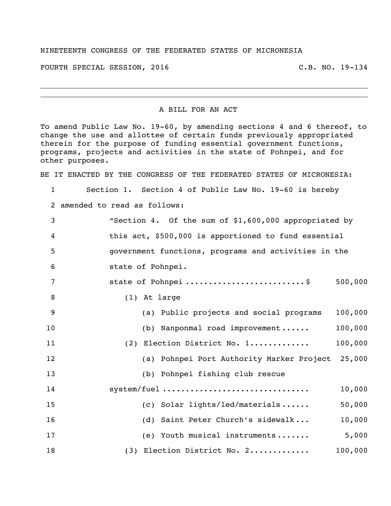## NINETEENTH CONGRESS OF THE FEDERATED STATES OF MICRONESIA

FOURTH SPECIAL SESSION, 2016 C.B. NO. 19-134

## A BILL FOR AN ACT

To amend Public Law No. 19-60, by amending sections 4 and 6 thereof, to change the use and allottee of certain funds previously appropriated therein for the purpose of funding essential government functions, programs, projects and activities in the state of Pohnpei, and for other purposes.

BE IT ENACTED BY THE CONGRESS OF THE FEDERATED STATES OF MICRONESIA:

Section 1. Section 4 of Public Law No. 19-60 is hereby

amended to read as follows:

| 3                | "Section 4. Of the sum of \$1,600,000 appropriated by |         |
|------------------|-------------------------------------------------------|---------|
| $\boldsymbol{4}$ | this act, \$500,000 is apportioned to fund essential  |         |
| 5                | government functions, programs and activities in the  |         |
| 6                | state of Pohnpei.                                     |         |
| 7                | state of Pohnpei \$                                   | 500,000 |
| 8                | (1) At large                                          |         |
| 9                | (a) Public projects and social programs               | 100,000 |
| 10               | (b) Nanponmal road improvement                        | 100,000 |
| 11               | (2) Election District No. 1                           | 100,000 |
| 12               | (a) Pohnpei Port Authority Marker Project             | 25,000  |
| 13               | (b) Pohnpei fishing club rescue                       |         |
| 14               | system/fuel                                           | 10,000  |
| 15               | (c) Solar lights/led/materials                        | 50,000  |
| 16               | (d) Saint Peter Church's sidewalk                     | 10,000  |
| 17               | (e) Youth musical instruments                         | 5,000   |
| 18               | (3) Election District No. 2                           | 100,000 |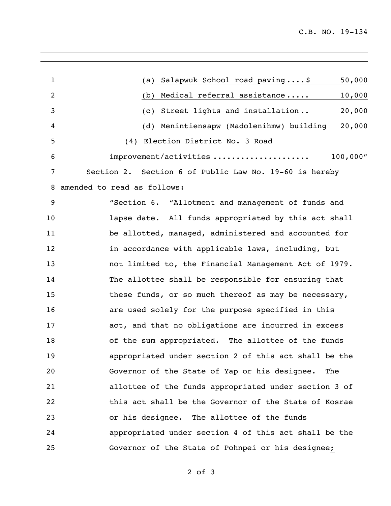| $\mathbf{1}$   | 50,000<br>Salapwuk School road paving\$<br>(a)         |
|----------------|--------------------------------------------------------|
| $\overline{2}$ | Medical referral assistance<br>10,000<br>(b)           |
| 3              | 20,000<br>Street lights and installation<br>(c)        |
| 4              | Menintiensapw (Madolenihmw) building<br>20,000<br>(d)  |
| 5              | (4) Election District No. 3 Road                       |
| 6              | 100,000''<br>improvement/activities                    |
| 7              | Section 2. Section 6 of Public Law No. 19-60 is hereby |
| 8              | amended to read as follows:                            |
| 9              | "Section 6. "Allotment and management of funds and     |
| 10             | lapse date. All funds appropriated by this act shall   |
| 11             | be allotted, managed, administered and accounted for   |
| 12             | in accordance with applicable laws, including, but     |
| 13             | not limited to, the Financial Management Act of 1979.  |
| 14             | The allottee shall be responsible for ensuring that    |
| 15             | these funds, or so much thereof as may be necessary,   |
| 16             | are used solely for the purpose specified in this      |
| 17             | act, and that no obligations are incurred in excess    |
| 18             | of the sum appropriated. The allottee of the funds     |
| 19             | appropriated under section 2 of this act shall be the  |
| 20             | Governor of the State of Yap or his designee. The      |
| 21             | allottee of the funds appropriated under section 3 of  |
| 22             | this act shall be the Governor of the State of Kosrae  |
| 23             | or his designee. The allottee of the funds             |
| 24             | appropriated under section 4 of this act shall be the  |
| 25             | Governor of the State of Pohnpei or his designee;      |
|                |                                                        |